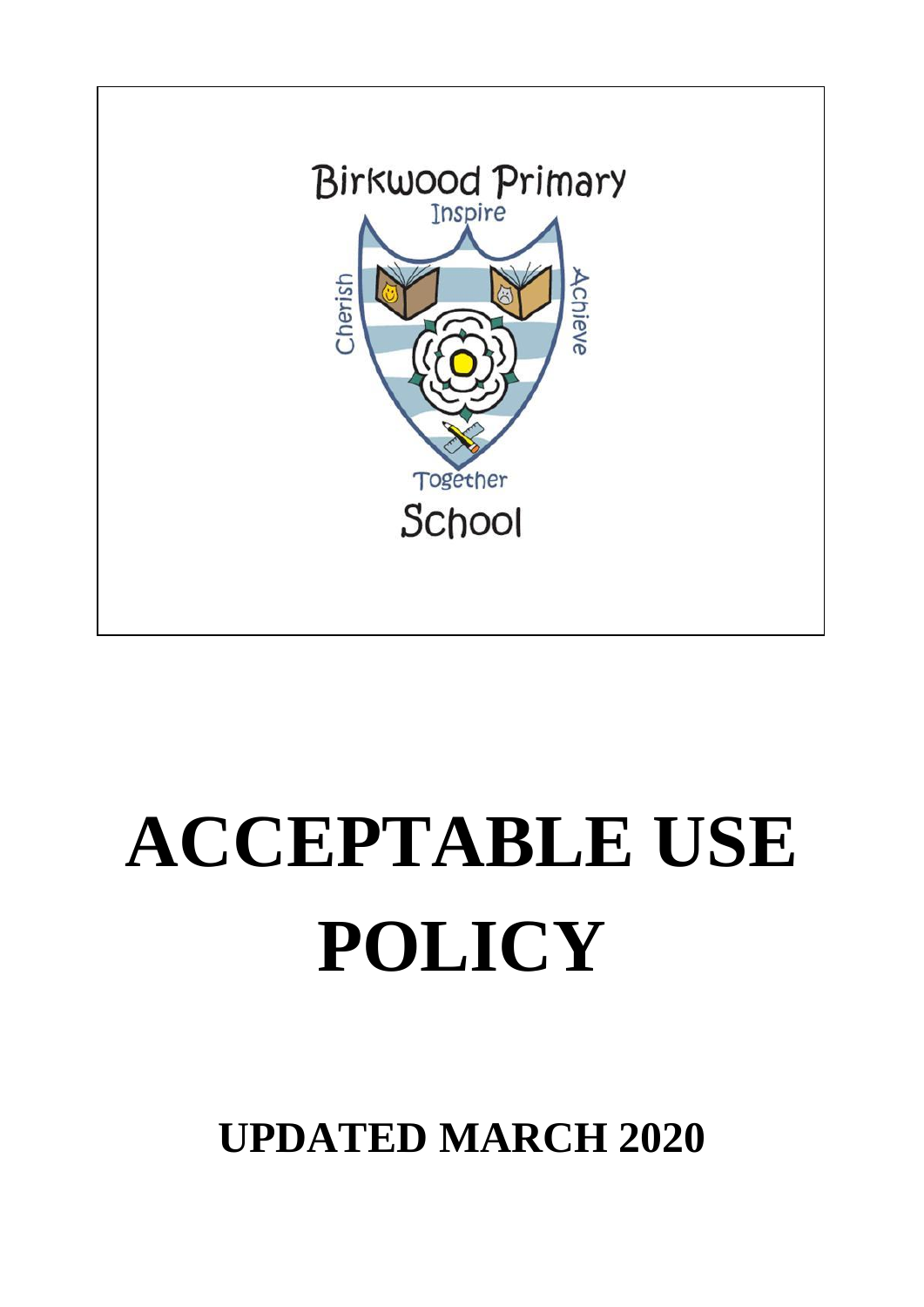

# **ACCEPTABLE USE POLICY**

**UPDATED MARCH 2020**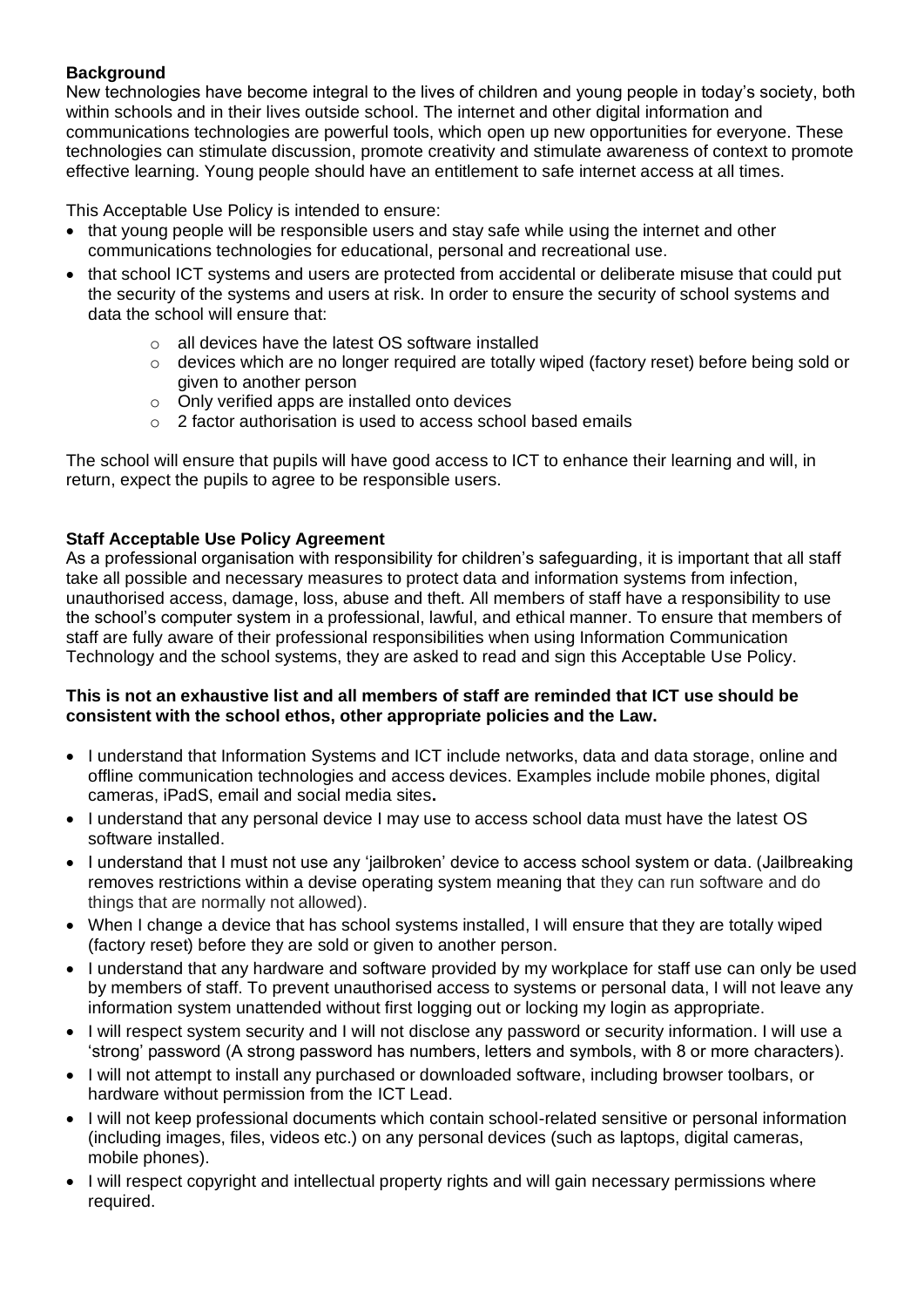# **Background**

New technologies have become integral to the lives of children and young people in today's society, both within schools and in their lives outside school. The internet and other digital information and communications technologies are powerful tools, which open up new opportunities for everyone. These technologies can stimulate discussion, promote creativity and stimulate awareness of context to promote effective learning. Young people should have an entitlement to safe internet access at all times.

This Acceptable Use Policy is intended to ensure:

- that young people will be responsible users and stay safe while using the internet and other communications technologies for educational, personal and recreational use.
- that school ICT systems and users are protected from accidental or deliberate misuse that could put the security of the systems and users at risk. In order to ensure the security of school systems and data the school will ensure that:
	- o all devices have the latest OS software installed
	- o devices which are no longer required are totally wiped (factory reset) before being sold or given to another person
	- o Only verified apps are installed onto devices
	- o 2 factor authorisation is used to access school based emails

The school will ensure that pupils will have good access to ICT to enhance their learning and will, in return, expect the pupils to agree to be responsible users.

## **Staff Acceptable Use Policy Agreement**

As a professional organisation with responsibility for children's safeguarding, it is important that all staff take all possible and necessary measures to protect data and information systems from infection, unauthorised access, damage, loss, abuse and theft. All members of staff have a responsibility to use the school's computer system in a professional, lawful, and ethical manner. To ensure that members of staff are fully aware of their professional responsibilities when using Information Communication Technology and the school systems, they are asked to read and sign this Acceptable Use Policy.

### **This is not an exhaustive list and all members of staff are reminded that ICT use should be consistent with the school ethos, other appropriate policies and the Law.**

- I understand that Information Systems and ICT include networks, data and data storage, online and offline communication technologies and access devices. Examples include mobile phones, digital cameras, iPadS, email and social media sites**.**
- I understand that any personal device I may use to access school data must have the latest OS software installed.
- I understand that I must not use any 'jailbroken' device to access school system or data. (Jailbreaking removes restrictions within a devise operating system meaning that they can run software and do things that are normally not allowed).
- When I change a device that has school systems installed, I will ensure that they are totally wiped (factory reset) before they are sold or given to another person.
- I understand that any hardware and software provided by my workplace for staff use can only be used by members of staff. To prevent unauthorised access to systems or personal data, I will not leave any information system unattended without first logging out or locking my login as appropriate.
- I will respect system security and I will not disclose any password or security information. I will use a 'strong' password (A strong password has numbers, letters and symbols, with 8 or more characters).
- I will not attempt to install any purchased or downloaded software, including browser toolbars, or hardware without permission from the ICT Lead.
- I will not keep professional documents which contain school-related sensitive or personal information (including images, files, videos etc.) on any personal devices (such as laptops, digital cameras, mobile phones).
- I will respect copyright and intellectual property rights and will gain necessary permissions where required.